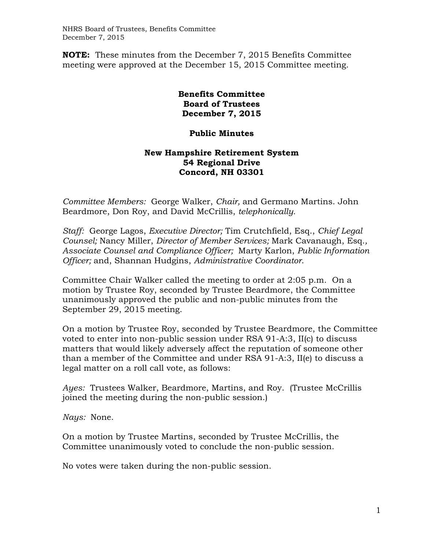NHRS Board of Trustees, Benefits Committee December 7, 2015

**NOTE:** These minutes from the December 7, 2015 Benefits Committee meeting were approved at the December 15, 2015 Committee meeting.

## **Benefits Committee Board of Trustees December 7, 2015**

## **Public Minutes**

## **New Hampshire Retirement System 54 Regional Drive Concord, NH 03301**

*Committee Members:* George Walker, *Chair,* and Germano Martins. John Beardmore, Don Roy, and David McCrillis, *telephonically.*

*Staff:* George Lagos, *Executive Director;* Tim Crutchfield, Esq., *Chief Legal Counsel;* Nancy Miller, *Director of Member Services;* Mark Cavanaugh, Esq.*, Associate Counsel and Compliance Officer;* Marty Karlon, *Public Information Officer;* and, Shannan Hudgins, *Administrative Coordinator*.

Committee Chair Walker called the meeting to order at 2:05 p.m. On a motion by Trustee Roy, seconded by Trustee Beardmore, the Committee unanimously approved the public and non-public minutes from the September 29, 2015 meeting.

On a motion by Trustee Roy, seconded by Trustee Beardmore, the Committee voted to enter into non-public session under RSA 91-A:3, II(c) to discuss matters that would likely adversely affect the reputation of someone other than a member of the Committee and under RSA 91-A:3, II(e) to discuss a legal matter on a roll call vote, as follows:

*Ayes:* Trustees Walker, Beardmore, Martins, and Roy. (Trustee McCrillis joined the meeting during the non-public session.)

*Nays:* None.

On a motion by Trustee Martins, seconded by Trustee McCrillis, the Committee unanimously voted to conclude the non-public session.

No votes were taken during the non-public session.